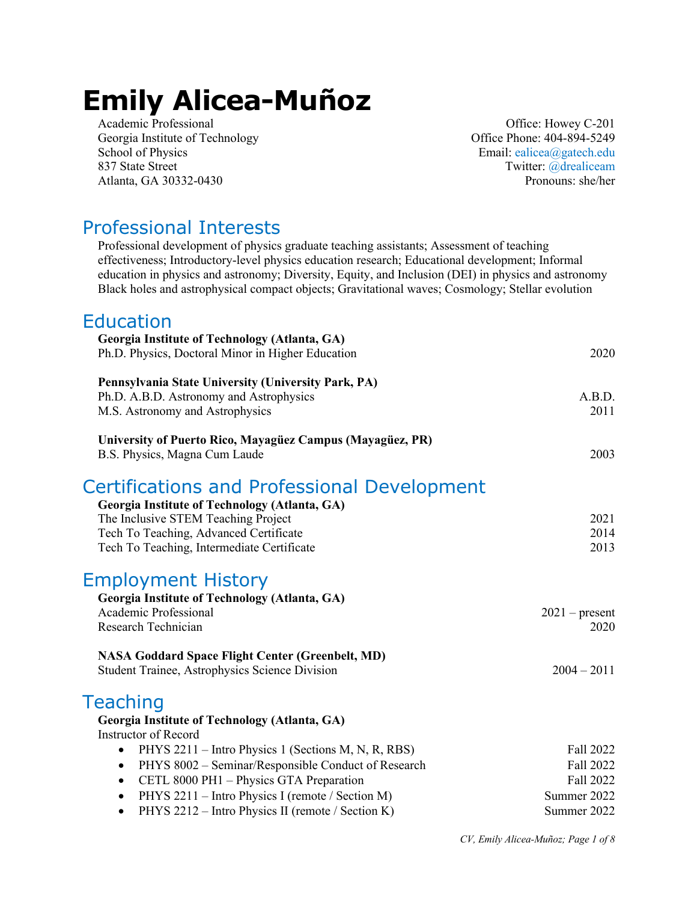# **Emily Alicea-Muñoz**

Academic Professional Office: Howey C-201 Georgia Institute of Technology Charles Contract Contract Contract Office Phone: 404-894-5249 School of Physics Email: ealicea@gatech.edu 837 State Street Twitter: @drealiceam Atlanta, GA 30332-0430 Pronouns: she/her

#### Professional Interests

Professional development of physics graduate teaching assistants; Assessment of teaching effectiveness; Introductory-level physics education research; Educational development; Informal education in physics and astronomy; Diversity, Equity, and Inclusion (DEI) in physics and astronomy Black holes and astrophysical compact objects; Gravitational waves; Cosmology; Stellar evolution

#### Education

| 2020                                                              |
|-------------------------------------------------------------------|
| A.B.D.<br>2011                                                    |
| 2003                                                              |
|                                                                   |
| 2021<br>2014                                                      |
| 2013                                                              |
|                                                                   |
| $2021$ – present<br>2020                                          |
| $2004 - 2011$                                                     |
|                                                                   |
|                                                                   |
| Fall 2022<br>Fall 2022<br>Fall 2022<br>Summer 2022<br>Summer 2022 |
|                                                                   |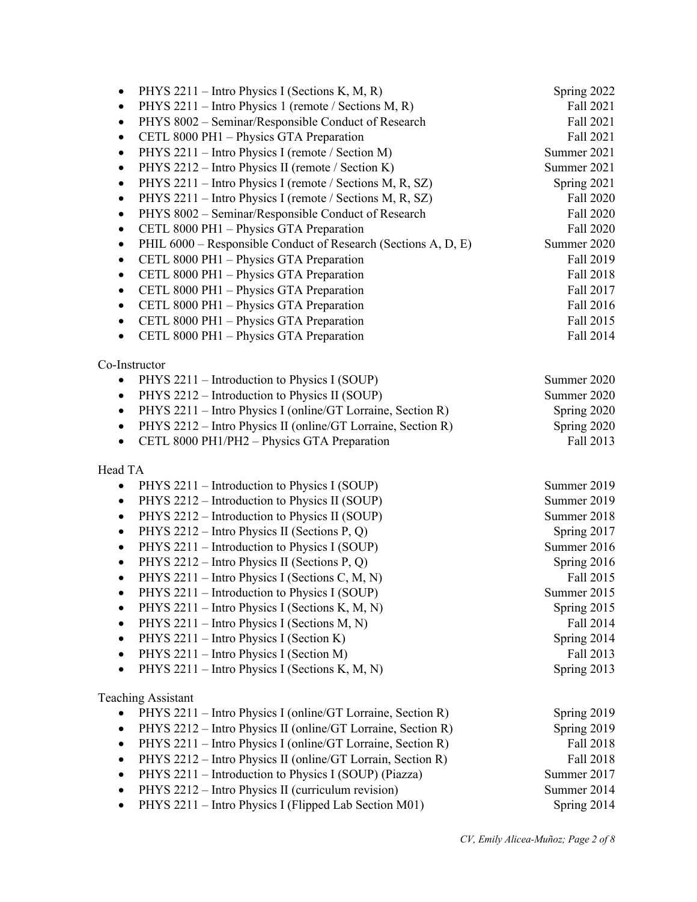| PHYS 2211 – Intro Physics I (Sections K, M, R)<br>٠                         | Spring 2022 |
|-----------------------------------------------------------------------------|-------------|
| PHYS 2211 – Intro Physics 1 (remote / Sections M, R)<br>٠                   | Fall 2021   |
| PHYS 8002 - Seminar/Responsible Conduct of Research<br>$\bullet$            | Fall 2021   |
| CETL 8000 PH1 - Physics GTA Preparation                                     | Fall 2021   |
| PHYS 2211 - Intro Physics I (remote / Section M)<br>$\bullet$               | Summer 2021 |
| PHYS 2212 - Intro Physics II (remote / Section K)                           | Summer 2021 |
| PHYS 2211 – Intro Physics I (remote / Sections M, R, SZ)<br>$\bullet$       | Spring 2021 |
| PHYS 2211 – Intro Physics I (remote / Sections M, R, SZ)<br>$\bullet$       | Fall 2020   |
| PHYS 8002 - Seminar/Responsible Conduct of Research<br>$\bullet$            | Fall 2020   |
| CETL 8000 PH1 - Physics GTA Preparation<br>$\bullet$                        | Fall 2020   |
| PHIL 6000 – Responsible Conduct of Research (Sections A, D, E)<br>$\bullet$ | Summer 2020 |
| CETL 8000 PH1 - Physics GTA Preparation<br>$\bullet$                        | Fall 2019   |
| CETL 8000 PH1 - Physics GTA Preparation<br>$\bullet$                        | Fall 2018   |
| CETL 8000 PH1 - Physics GTA Preparation                                     | Fall 2017   |
| CETL 8000 PH1 - Physics GTA Preparation<br>$\bullet$                        | Fall 2016   |
| CETL 8000 PH1 - Physics GTA Preparation                                     | Fall 2015   |
| CETL 8000 PH1 - Physics GTA Preparation<br>$\bullet$                        | Fall 2014   |
|                                                                             |             |
| Co-Instructor                                                               |             |
| PHYS 2211 – Introduction to Physics I (SOUP)                                | Summer 2020 |
| PHYS 2212 – Introduction to Physics II (SOUP)                               | Summer 2020 |
| PHYS 2211 - Intro Physics I (online/GT Lorraine, Section R)                 | Spring 2020 |
| PHYS 2212 - Intro Physics II (online/GT Lorraine, Section R)                | Spring 2020 |
| CETL 8000 PH1/PH2 - Physics GTA Preparation<br>$\bullet$                    | Fall 2013   |
|                                                                             |             |
| Head TA                                                                     |             |
| PHYS 2211 – Introduction to Physics I (SOUP)                                | Summer 2019 |
| PHYS 2212 - Introduction to Physics II (SOUP)<br>$\bullet$                  | Summer 2019 |
| PHYS 2212 - Introduction to Physics II (SOUP)<br>$\bullet$                  | Summer 2018 |
| PHYS 2212 - Intro Physics II (Sections P, Q)<br>$\bullet$                   | Spring 2017 |
| PHYS 2211 - Introduction to Physics I (SOUP)<br>$\bullet$                   | Summer 2016 |
| PHYS 2212 – Intro Physics II (Sections P, Q)<br>$\bullet$                   | Spring 2016 |
| PHYS 2211 - Intro Physics I (Sections C, M, N)<br>$\bullet$                 | Fall 2015   |
| PHYS 2211 – Introduction to Physics I (SOUP)<br>$\bullet$                   | Summer 2015 |
| PHYS 2211 – Intro Physics I (Sections K, M, N)<br>٠                         | Spring 2015 |
| PHYS 2211 – Intro Physics I (Sections M, N)<br>٠                            | Fall 2014   |
| PHYS 2211 - Intro Physics I (Section K)                                     | Spring 2014 |
| PHYS 2211 - Intro Physics I (Section M)<br>$\bullet$                        | Fall 2013   |
| PHYS 2211 - Intro Physics I (Sections K, M, N)<br>$\bullet$                 | Spring 2013 |
|                                                                             |             |
| <b>Teaching Assistant</b>                                                   |             |
| PHYS 2211 - Intro Physics I (online/GT Lorraine, Section R)                 | Spring 2019 |
| PHYS 2212 - Intro Physics II (online/GT Lorraine, Section R)<br>$\bullet$   | Spring 2019 |
| PHYS 2211 - Intro Physics I (online/GT Lorraine, Section R)                 | Fall 2018   |
| PHYS 2212 - Intro Physics II (online/GT Lorrain, Section R)<br>$\bullet$    | Fall 2018   |
| PHYS 2211 - Introduction to Physics I (SOUP) (Piazza)<br>$\bullet$          | Summer 2017 |
| PHYS 2212 – Intro Physics II (curriculum revision)                          | Summer 2014 |
| PHYS 2211 - Intro Physics I (Flipped Lab Section M01)<br>٠                  | Spring 2014 |
|                                                                             |             |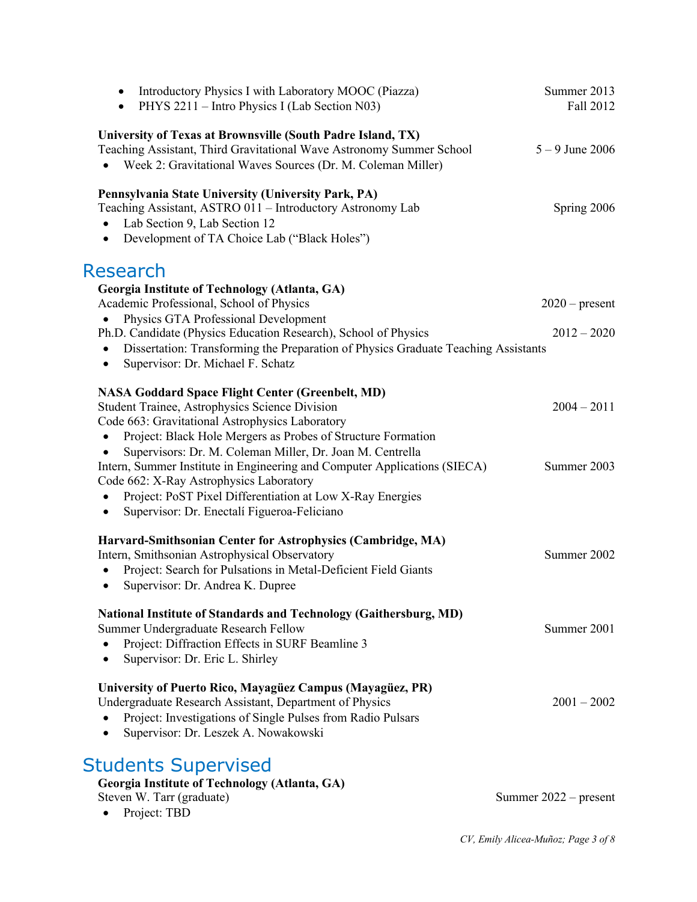| Introductory Physics I with Laboratory MOOC (Piazza)<br>$\bullet$<br>PHYS 2211 – Intro Physics I (Lab Section N03)<br>$\bullet$                                                                                                                                                                                                                                                                                                                                                                           | Summer 2013<br>Fall 2012          |
|-----------------------------------------------------------------------------------------------------------------------------------------------------------------------------------------------------------------------------------------------------------------------------------------------------------------------------------------------------------------------------------------------------------------------------------------------------------------------------------------------------------|-----------------------------------|
| University of Texas at Brownsville (South Padre Island, TX)<br>Teaching Assistant, Third Gravitational Wave Astronomy Summer School<br>Week 2: Gravitational Waves Sources (Dr. M. Coleman Miller)                                                                                                                                                                                                                                                                                                        | $5 - 9$ June 2006                 |
| Pennsylvania State University (University Park, PA)<br>Teaching Assistant, ASTRO 011 - Introductory Astronomy Lab<br>Lab Section 9, Lab Section 12<br>$\bullet$<br>Development of TA Choice Lab ("Black Holes")<br>$\bullet$                                                                                                                                                                                                                                                                              | Spring 2006                       |
| Research<br>Georgia Institute of Technology (Atlanta, GA)<br>Academic Professional, School of Physics<br>Physics GTA Professional Development<br>Ph.D. Candidate (Physics Education Research), School of Physics<br>Dissertation: Transforming the Preparation of Physics Graduate Teaching Assistants                                                                                                                                                                                                    | $2020$ – present<br>$2012 - 2020$ |
| $\bullet$<br>Supervisor: Dr. Michael F. Schatz<br>$\bullet$<br><b>NASA Goddard Space Flight Center (Greenbelt, MD)</b>                                                                                                                                                                                                                                                                                                                                                                                    |                                   |
| Student Trainee, Astrophysics Science Division<br>Code 663: Gravitational Astrophysics Laboratory<br>Project: Black Hole Mergers as Probes of Structure Formation<br>$\bullet$<br>Supervisors: Dr. M. Coleman Miller, Dr. Joan M. Centrella<br>Intern, Summer Institute in Engineering and Computer Applications (SIECA)<br>Code 662: X-Ray Astrophysics Laboratory<br>Project: PoST Pixel Differentiation at Low X-Ray Energies<br>$\bullet$<br>Supervisor: Dr. Enectalí Figueroa-Feliciano<br>$\bullet$ | $2004 - 2011$<br>Summer 2003      |
| Harvard-Smithsonian Center for Astrophysics (Cambridge, MA)<br>Intern, Smithsonian Astrophysical Observatory<br>Project: Search for Pulsations in Metal-Deficient Field Giants<br>Supervisor: Dr. Andrea K. Dupree<br>$\bullet$                                                                                                                                                                                                                                                                           | Summer 2002                       |
| <b>National Institute of Standards and Technology (Gaithersburg, MD)</b><br>Summer Undergraduate Research Fellow<br>Project: Diffraction Effects in SURF Beamline 3<br>Supervisor: Dr. Eric L. Shirley<br>$\bullet$                                                                                                                                                                                                                                                                                       | Summer 2001                       |
| University of Puerto Rico, Mayagüez Campus (Mayagüez, PR)<br>Undergraduate Research Assistant, Department of Physics<br>Project: Investigations of Single Pulses from Radio Pulsars<br>Supervisor: Dr. Leszek A. Nowakowski                                                                                                                                                                                                                                                                               | $2001 - 2002$                     |
| <b>Students Supervised</b><br>Georgia Institute of Technology (Atlanta, GA)<br>Steven W. Tarr (graduate)<br>Project: TBD                                                                                                                                                                                                                                                                                                                                                                                  | Summer $2022$ – present           |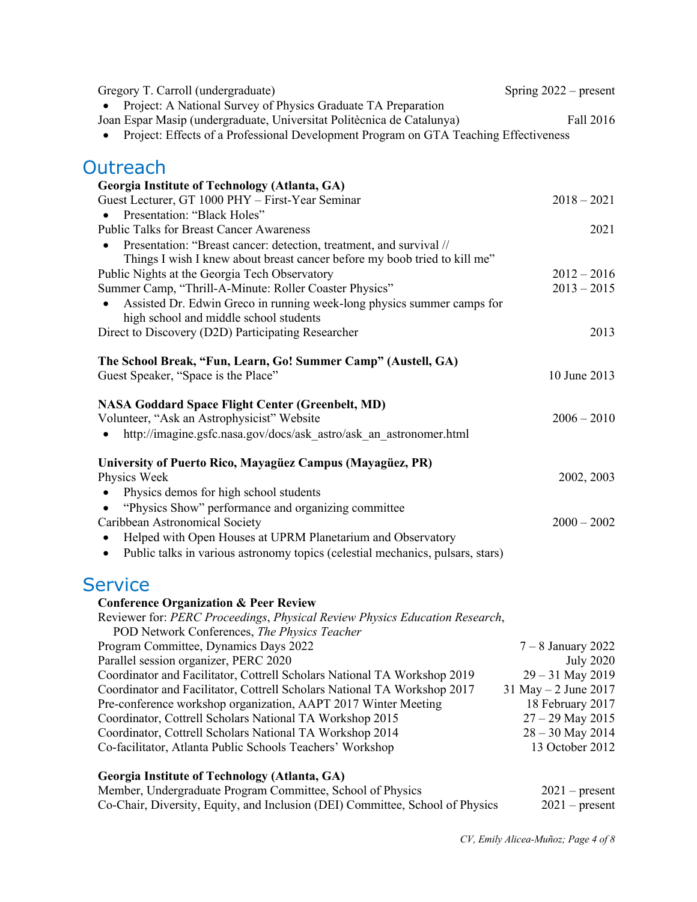| Gregory T. Carroll (undergraduate)                                                                                                      | Spring $2022$ – present |
|-----------------------------------------------------------------------------------------------------------------------------------------|-------------------------|
| Project: A National Survey of Physics Graduate TA Preparation<br>Joan Espar Masip (undergraduate, Universitat Politècnica de Catalunya) | Fall 2016               |
| Project: Effects of a Professional Development Program on GTA Teaching Effectiveness                                                    |                         |
| Outreach                                                                                                                                |                         |
| Georgia Institute of Technology (Atlanta, GA)                                                                                           |                         |
| Guest Lecturer, GT 1000 PHY - First-Year Seminar                                                                                        | $2018 - 2021$           |
| Presentation: "Black Holes"<br>$\bullet$                                                                                                |                         |
| <b>Public Talks for Breast Cancer Awareness</b>                                                                                         | 2021                    |
| Presentation: "Breast cancer: detection, treatment, and survival //<br>$\bullet$                                                        |                         |
| Things I wish I knew about breast cancer before my boob tried to kill me"                                                               |                         |
| Public Nights at the Georgia Tech Observatory                                                                                           | $2012 - 2016$           |
| Summer Camp, "Thrill-A-Minute: Roller Coaster Physics"                                                                                  | $2013 - 2015$           |
| Assisted Dr. Edwin Greco in running week-long physics summer camps for                                                                  |                         |
| high school and middle school students                                                                                                  |                         |
| Direct to Discovery (D2D) Participating Researcher                                                                                      | 2013                    |
| The School Break, "Fun, Learn, Go! Summer Camp" (Austell, GA)                                                                           |                         |
| Guest Speaker, "Space is the Place"                                                                                                     | 10 June 2013            |
| <b>NASA Goddard Space Flight Center (Greenbelt, MD)</b>                                                                                 |                         |
| Volunteer, "Ask an Astrophysicist" Website                                                                                              | $2006 - 2010$           |
| http://imagine.gsfc.nasa.gov/docs/ask_astro/ask_an_astronomer.html                                                                      |                         |
|                                                                                                                                         |                         |
| University of Puerto Rico, Mayagüez Campus (Mayagüez, PR)                                                                               |                         |
| Physics Week                                                                                                                            | 2002, 2003              |
| Physics demos for high school students<br>$\bullet$                                                                                     |                         |
| "Physics Show" performance and organizing committee                                                                                     |                         |
| Caribbean Astronomical Society                                                                                                          | $2000 - 2002$           |
| Helped with Open Houses at UPRM Planetarium and Observatory<br>٠                                                                        |                         |
| Public talks in various astronomy topics (celestial mechanics, pulsars, stars)<br>$\bullet$                                             |                         |
| <b>Service</b>                                                                                                                          |                         |
| <b>Conference Organization &amp; Peer Review</b>                                                                                        |                         |
| Reviewer for: PERC Proceedings, Physical Review Physics Education Research,                                                             |                         |
| POD Network Conferences, The Physics Teacher                                                                                            |                         |
| Program Committee, Dynamics Days 2022                                                                                                   | $7 - 8$ January 2022    |
| Parallel session organizer, PERC 2020                                                                                                   | <b>July 2020</b>        |
| Coordinator and Facilitator, Cottrell Scholars National TA Workshop 2019                                                                | 29 - 31 May 2019        |
| Coordinator and Facilitator, Cottrell Scholars National TA Workshop 2017                                                                | 31 May $-2$ June 2017   |
| Pre-conference workshop organization, AAPT 2017 Winter Meeting                                                                          | 18 February 2017        |
| Coordinator, Cottrell Scholars National TA Workshop 2015                                                                                | $27 - 29$ May 2015      |
| Coordinator, Cottrell Scholars National TA Workshop 2014                                                                                | $28 - 30$ May 2014      |
| Co-facilitator, Atlanta Public Schools Teachers' Workshop                                                                               | 13 October 2012         |
| Georgia Institute of Technology (Atlanta, GA)                                                                                           |                         |
| Member, Undergraduate Program Committee, School of Physics                                                                              | $2021$ – present        |
| Co-Chair, Diversity, Equity, and Inclusion (DEI) Committee, School of Physics                                                           | $2021$ – present        |
|                                                                                                                                         |                         |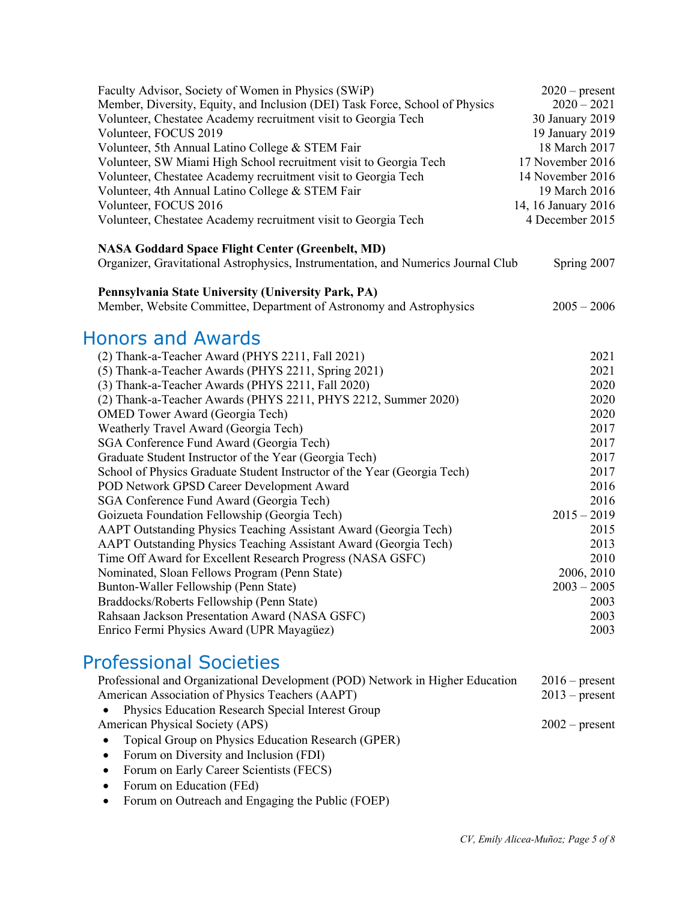| Faculty Advisor, Society of Women in Physics (SWiP)                               | $2020$ – present    |
|-----------------------------------------------------------------------------------|---------------------|
| Member, Diversity, Equity, and Inclusion (DEI) Task Force, School of Physics      | $2020 - 2021$       |
| Volunteer, Chestatee Academy recruitment visit to Georgia Tech                    | 30 January 2019     |
| Volunteer, FOCUS 2019                                                             | 19 January 2019     |
| Volunteer, 5th Annual Latino College & STEM Fair                                  | 18 March 2017       |
| Volunteer, SW Miami High School recruitment visit to Georgia Tech                 | 17 November 2016    |
| Volunteer, Chestatee Academy recruitment visit to Georgia Tech                    | 14 November 2016    |
| Volunteer, 4th Annual Latino College & STEM Fair                                  | 19 March 2016       |
| Volunteer, FOCUS 2016                                                             | 14, 16 January 2016 |
| Volunteer, Chestatee Academy recruitment visit to Georgia Tech                    | 4 December 2015     |
| <b>NASA Goddard Space Flight Center (Greenbelt, MD)</b>                           |                     |
| Organizer, Gravitational Astrophysics, Instrumentation, and Numerics Journal Club | Spring 2007         |
| Pennsylvania State University (University Park, PA)                               |                     |
| Member, Website Committee, Department of Astronomy and Astrophysics               | $2005 - 2006$       |
| <b>Honors and Awards</b>                                                          |                     |
| (2) Thank-a-Teacher Award (PHYS 2211, Fall 2021)                                  | 2021                |
| (5) Thank-a-Teacher Awards (PHYS 2211, Spring 2021)                               | 2021                |
| (3) Thank-a-Teacher Awards (PHYS 2211, Fall 2020)                                 | 2020                |
| (2) Thank-a-Teacher Awards (PHYS 2211, PHYS 2212, Summer 2020)                    | 2020                |
| <b>OMED</b> Tower Award (Georgia Tech)                                            | 2020                |
| Weatherly Travel Award (Georgia Tech)                                             | 2017                |
| SGA Conference Fund Award (Georgia Tech)                                          | 2017                |
| Graduate Student Instructor of the Year (Georgia Tech)                            | 2017                |
| School of Physics Graduate Student Instructor of the Year (Georgia Tech)          | 2017                |
| POD Network GPSD Career Development Award                                         | 2016                |
| SGA Conference Fund Award (Georgia Tech)                                          | 2016                |
| Goizueta Foundation Fellowship (Georgia Tech)                                     | $2015 - 2019$       |
| AAPT Outstanding Physics Teaching Assistant Award (Georgia Tech)                  | 2015                |
| AAPT Outstanding Physics Teaching Assistant Award (Georgia Tech)                  | 2013                |
| Time Off Award for Excellent Research Progress (NASA GSFC)                        | 2010                |
| Nominated, Sloan Fellows Program (Penn State)                                     | 2006, 2010          |
| Bunton-Waller Fellowship (Penn State)                                             | $2003 - 2005$       |
| Braddocks/Roberts Fellowship (Penn State)                                         | 2003                |
| Rahsaan Jackson Presentation Award (NASA GSFC)                                    | 2003                |
| Enrico Fermi Physics Award (UPR Mayagüez)                                         | 2003                |
| <b>Professional Societies</b>                                                     |                     |

| Professional and Organizational Development (POD) Network in Higher Education                                      | $2016$ – present |
|--------------------------------------------------------------------------------------------------------------------|------------------|
| American Association of Physics Teachers (AAPT)                                                                    | $2013$ – present |
| • Physics Education Research Special Interest Group                                                                |                  |
| <b>American Physical Society (APS)</b>                                                                             | $2002$ – present |
| • Topical Group on Physics Education Research (GPER)                                                               |                  |
| $\mathbf{E}$ . $\mathbf{E}$ and $\mathbf{E}$ is $\mathbf{E}$ is the set of $\mathbf{E}$ is the set of $\mathbf{E}$ |                  |

- Forum on Diversity and Inclusion (FDI)
- Forum on Early Career Scientists (FECS)
- Forum on Education (FEd)
- Forum on Outreach and Engaging the Public (FOEP)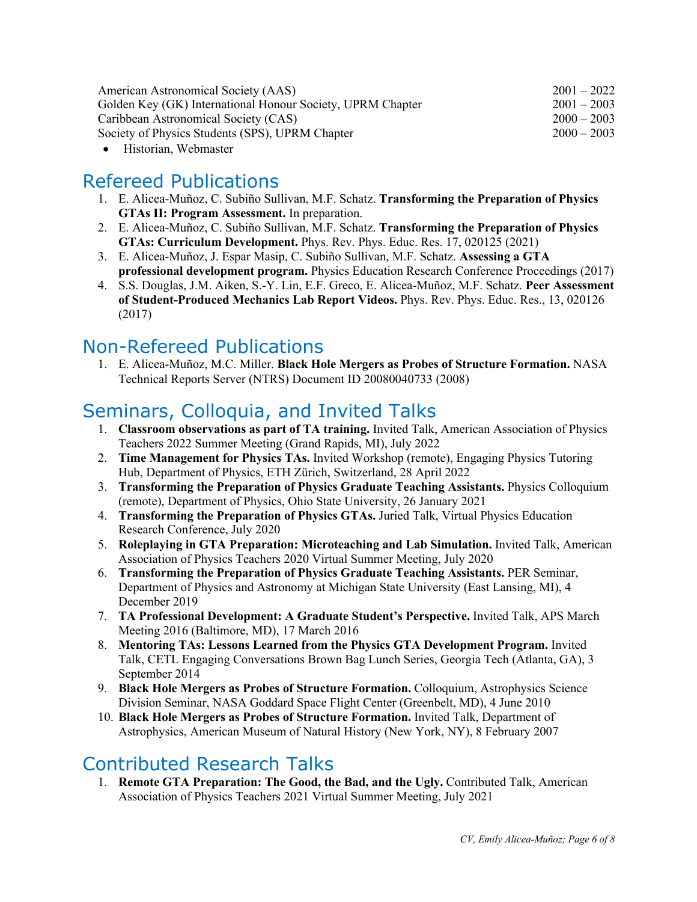| American Astronomical Society (AAS)                        | $2001 - 2022$ |
|------------------------------------------------------------|---------------|
| Golden Key (GK) International Honour Society, UPRM Chapter | $2001 - 2003$ |
| Caribbean Astronomical Society (CAS)                       | $2000 - 2003$ |
| Society of Physics Students (SPS), UPRM Chapter            | $2000 - 2003$ |
|                                                            |               |

• Historian, Webmaster

# Refereed Publications

- 1. E. Alicea-Muñoz, C. Subiño Sullivan, M.F. Schatz. **Transforming the Preparation of Physics GTAs II: Program Assessment.** In preparation.
- 2. E. Alicea-Muñoz, C. Subiño Sullivan, M.F. Schatz. **Transforming the Preparation of Physics GTAs: Curriculum Development.** Phys. Rev. Phys. Educ. Res. 17, 020125 (2021)
- 3. E. Alicea-Muñoz, J. Espar Masip, C. Subiño Sullivan, M.F. Schatz. **Assessing a GTA professional development program.** Physics Education Research Conference Proceedings (2017)
- 4. S.S. Douglas, J.M. Aiken, S.-Y. Lin, E.F. Greco, E. Alicea-Muñoz, M.F. Schatz. **Peer Assessment of Student-Produced Mechanics Lab Report Videos.** Phys. Rev. Phys. Educ. Res., 13, 020126 (2017)

## Non-Refereed Publications

1. E. Alicea-Muñoz, M.C. Miller. **Black Hole Mergers as Probes of Structure Formation.** NASA Technical Reports Server (NTRS) Document ID 20080040733 (2008)

# Seminars, Colloquia, and Invited Talks

- 1. **Classroom observations as part of TA training.** Invited Talk, American Association of Physics Teachers 2022 Summer Meeting (Grand Rapids, MI), July 2022
- 2. **Time Management for Physics TAs.** Invited Workshop (remote), Engaging Physics Tutoring Hub, Department of Physics, ETH Zürich, Switzerland, 28 April 2022
- 3. **Transforming the Preparation of Physics Graduate Teaching Assistants.** Physics Colloquium (remote), Department of Physics, Ohio State University, 26 January 2021
- 4. **Transforming the Preparation of Physics GTAs.** Juried Talk, Virtual Physics Education Research Conference, July 2020
- 5. **Roleplaying in GTA Preparation: Microteaching and Lab Simulation.** Invited Talk, American Association of Physics Teachers 2020 Virtual Summer Meeting, July 2020
- 6. **Transforming the Preparation of Physics Graduate Teaching Assistants.** PER Seminar, Department of Physics and Astronomy at Michigan State University (East Lansing, MI), 4 December 2019
- 7. **TA Professional Development: A Graduate Student's Perspective.** Invited Talk, APS March Meeting 2016 (Baltimore, MD), 17 March 2016
- 8. **Mentoring TAs: Lessons Learned from the Physics GTA Development Program.** Invited Talk, CETL Engaging Conversations Brown Bag Lunch Series, Georgia Tech (Atlanta, GA), 3 September 2014
- 9. **Black Hole Mergers as Probes of Structure Formation.** Colloquium, Astrophysics Science Division Seminar, NASA Goddard Space Flight Center (Greenbelt, MD), 4 June 2010
- 10. **Black Hole Mergers as Probes of Structure Formation.** Invited Talk, Department of Astrophysics, American Museum of Natural History (New York, NY), 8 February 2007

### Contributed Research Talks

1. **Remote GTA Preparation: The Good, the Bad, and the Ugly.** Contributed Talk, American Association of Physics Teachers 2021 Virtual Summer Meeting, July 2021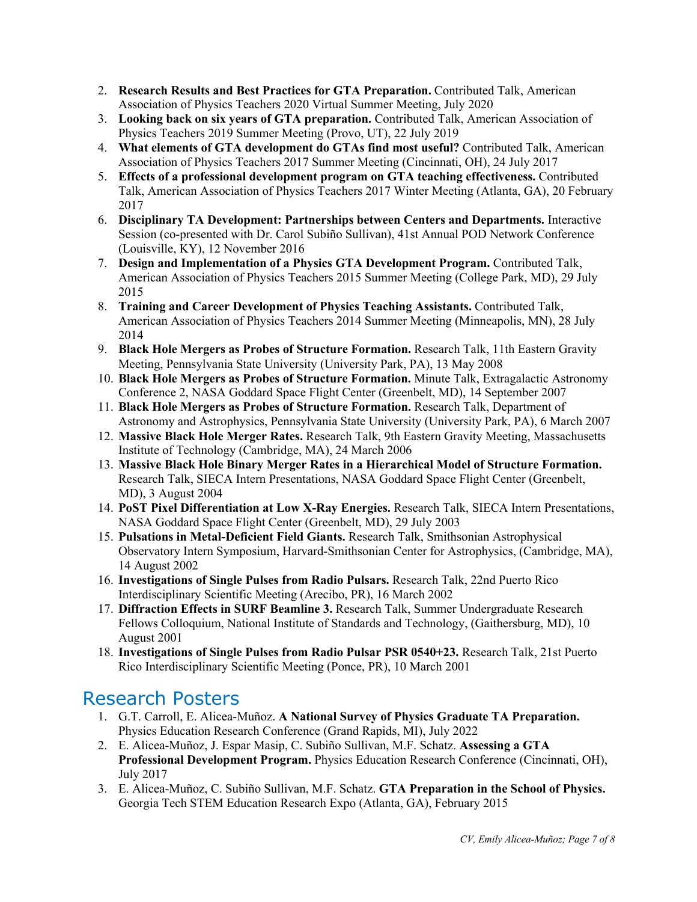- 2. **Research Results and Best Practices for GTA Preparation.** Contributed Talk, American Association of Physics Teachers 2020 Virtual Summer Meeting, July 2020
- 3. **Looking back on six years of GTA preparation.** Contributed Talk, American Association of Physics Teachers 2019 Summer Meeting (Provo, UT), 22 July 2019
- 4. **What elements of GTA development do GTAs find most useful?** Contributed Talk, American Association of Physics Teachers 2017 Summer Meeting (Cincinnati, OH), 24 July 2017
- 5. **Effects of a professional development program on GTA teaching effectiveness.** Contributed Talk, American Association of Physics Teachers 2017 Winter Meeting (Atlanta, GA), 20 February 2017
- 6. **Disciplinary TA Development: Partnerships between Centers and Departments.** Interactive Session (co-presented with Dr. Carol Subiño Sullivan), 41st Annual POD Network Conference (Louisville, KY), 12 November 2016
- 7. **Design and Implementation of a Physics GTA Development Program.** Contributed Talk, American Association of Physics Teachers 2015 Summer Meeting (College Park, MD), 29 July 2015
- 8. **Training and Career Development of Physics Teaching Assistants.** Contributed Talk, American Association of Physics Teachers 2014 Summer Meeting (Minneapolis, MN), 28 July 2014
- 9. **Black Hole Mergers as Probes of Structure Formation.** Research Talk, 11th Eastern Gravity Meeting, Pennsylvania State University (University Park, PA), 13 May 2008
- 10. **Black Hole Mergers as Probes of Structure Formation.** Minute Talk, Extragalactic Astronomy Conference 2, NASA Goddard Space Flight Center (Greenbelt, MD), 14 September 2007
- 11. **Black Hole Mergers as Probes of Structure Formation.** Research Talk, Department of Astronomy and Astrophysics, Pennsylvania State University (University Park, PA), 6 March 2007
- 12. **Massive Black Hole Merger Rates.** Research Talk, 9th Eastern Gravity Meeting, Massachusetts Institute of Technology (Cambridge, MA), 24 March 2006
- 13. **Massive Black Hole Binary Merger Rates in a Hierarchical Model of Structure Formation.** Research Talk, SIECA Intern Presentations, NASA Goddard Space Flight Center (Greenbelt, MD), 3 August 2004
- 14. **PoST Pixel Differentiation at Low X-Ray Energies.** Research Talk, SIECA Intern Presentations, NASA Goddard Space Flight Center (Greenbelt, MD), 29 July 2003
- 15. **Pulsations in Metal-Deficient Field Giants.** Research Talk, Smithsonian Astrophysical Observatory Intern Symposium, Harvard-Smithsonian Center for Astrophysics, (Cambridge, MA), 14 August 2002
- 16. **Investigations of Single Pulses from Radio Pulsars.** Research Talk, 22nd Puerto Rico Interdisciplinary Scientific Meeting (Arecibo, PR), 16 March 2002
- 17. **Diffraction Effects in SURF Beamline 3.** Research Talk, Summer Undergraduate Research Fellows Colloquium, National Institute of Standards and Technology, (Gaithersburg, MD), 10 August 2001
- 18. **Investigations of Single Pulses from Radio Pulsar PSR 0540+23.** Research Talk, 21st Puerto Rico Interdisciplinary Scientific Meeting (Ponce, PR), 10 March 2001

### Research Posters

- 1. G.T. Carroll, E. Alicea-Muñoz. **A National Survey of Physics Graduate TA Preparation.** Physics Education Research Conference (Grand Rapids, MI), July 2022
- 2. E. Alicea-Muñoz, J. Espar Masip, C. Subiño Sullivan, M.F. Schatz. **Assessing a GTA Professional Development Program.** Physics Education Research Conference (Cincinnati, OH), July 2017
- 3. E. Alicea-Muñoz, C. Subiño Sullivan, M.F. Schatz. **GTA Preparation in the School of Physics.** Georgia Tech STEM Education Research Expo (Atlanta, GA), February 2015